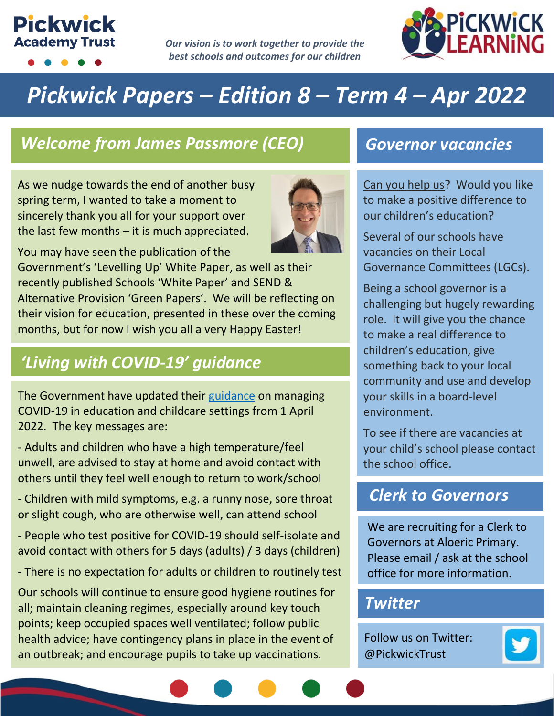# **Pickwick Academy Trust**

*Our vision is to work together to provide the best schools and outcomes for our children*



# *Pickwick Papers – Edition 8 – Term 4 – Apr 2022*

### *Welcome from James Passmore (CEO) Governor vacancies*

As we nudge towards the end of another busy spring term, I wanted to take a moment to sincerely thank you all for your support over the last few months  $-$  it is much appreciated.



You may have seen the publication of the Government's 'Levelling Up' White Paper, as well as their recently published Schools 'White Paper' and SEND & Alternative Provision 'Green Papers'. We will be reflecting on their vision for education, presented in these over the coming months, but for now I wish you all a very Happy Easter!

## *'Living with COVID-19' guidance*

The Government have updated their [guidance](https://www.gov.uk/guidance/people-with-symptoms-of-a-respiratory-infection-including-covid-19?utm_source=Schools+newsletter&utm_campaign=fcdaa3a037-EMAIL_CAMPAIGN_2020_09_02_02_40_COPY_01&utm_medium=email&utm_term=0_48248bb0ce-fcdaa3a037-88528212) on managing COVID-19 in education and childcare settings from 1 April 2022. The key messages are:

- Adults and children who have a high temperature/feel unwell, are advised to stay at home and avoid contact with others until they feel well enough to return to work/school

- Children with mild symptoms, e.g. a runny nose, sore throat or slight cough, who are otherwise well, can attend school

- People who test positive for COVID-19 should self-isolate and avoid contact with others for 5 days (adults) / 3 days (children)

- There is no expectation for adults or children to routinely test

Our schools will continue to ensure good hygiene routines for all; maintain cleaning regimes, especially around key touch points; keep occupied spaces well ventilated; follow public health advice; have contingency plans in place in the event of an outbreak; and encourage pupils to take up vaccinations.

Can you help us? Would you like to make a positive difference to our children's education?

Several of our schools have vacancies on their Local Governance Committees (LGCs).

Being a school governor is a challenging but hugely rewarding role. It will give you the chance to make a real difference to children's education, give something back to your local community and use and develop your skills in a board-level environment.

To see if there are vacancies at your child's school please contact the school office.

#### *Clerk to Governors*

We are recruiting for a Clerk to Governors at Aloeric Primary. Please email / ask at the school office for more information.

#### *Twitter*

Follow us on Twitter: @PickwickTrust